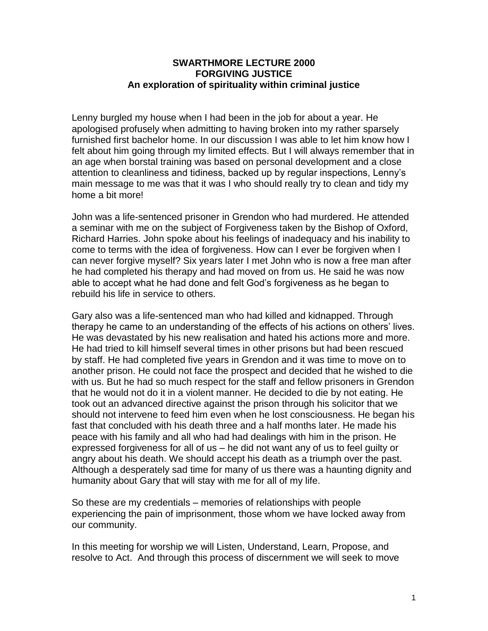## **SWARTHMORE LECTURE 2000 FORGIVING JUSTICE An exploration of spirituality within criminal justice**

Lenny burgled my house when I had been in the job for about a year. He apologised profusely when admitting to having broken into my rather sparsely furnished first bachelor home. In our discussion I was able to let him know how I felt about him going through my limited effects. But I will always remember that in an age when borstal training was based on personal development and a close attention to cleanliness and tidiness, backed up by regular inspections, Lenny"s main message to me was that it was I who should really try to clean and tidy my home a bit more!

John was a life-sentenced prisoner in Grendon who had murdered. He attended a seminar with me on the subject of Forgiveness taken by the Bishop of Oxford, Richard Harries. John spoke about his feelings of inadequacy and his inability to come to terms with the idea of forgiveness. How can I ever be forgiven when I can never forgive myself? Six years later I met John who is now a free man after he had completed his therapy and had moved on from us. He said he was now able to accept what he had done and felt God"s forgiveness as he began to rebuild his life in service to others.

Gary also was a life-sentenced man who had killed and kidnapped. Through therapy he came to an understanding of the effects of his actions on others" lives. He was devastated by his new realisation and hated his actions more and more. He had tried to kill himself several times in other prisons but had been rescued by staff. He had completed five years in Grendon and it was time to move on to another prison. He could not face the prospect and decided that he wished to die with us. But he had so much respect for the staff and fellow prisoners in Grendon that he would not do it in a violent manner. He decided to die by not eating. He took out an advanced directive against the prison through his solicitor that we should not intervene to feed him even when he lost consciousness. He began his fast that concluded with his death three and a half months later. He made his peace with his family and all who had had dealings with him in the prison. He expressed forgiveness for all of us – he did not want any of us to feel guilty or angry about his death. We should accept his death as a triumph over the past. Although a desperately sad time for many of us there was a haunting dignity and humanity about Gary that will stay with me for all of my life.

So these are my credentials – memories of relationships with people experiencing the pain of imprisonment, those whom we have locked away from our community.

In this meeting for worship we will Listen, Understand, Learn, Propose, and resolve to Act. And through this process of discernment we will seek to move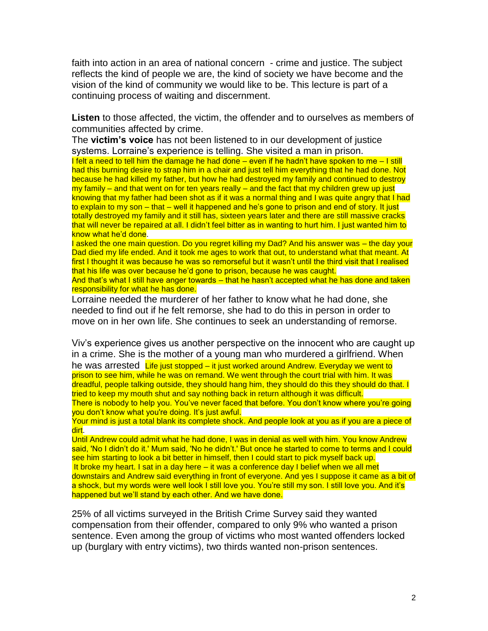faith into action in an area of national concern - crime and justice. The subject reflects the kind of people we are, the kind of society we have become and the vision of the kind of community we would like to be. This lecture is part of a continuing process of waiting and discernment.

**Listen** to those affected, the victim, the offender and to ourselves as members of communities affected by crime.

The **victim's voice** has not been listened to in our development of justice systems. Lorraine's experience is telling. She visited a man in prison. I felt a need to tell him the damage he had done – even if he hadn"t have spoken to me – I still had this burning desire to strap him in a chair and just tell him everything that he had done. Not because he had killed my father, but how he had destroyed my family and continued to destroy my family – and that went on for ten years really – and the fact that my children grew up just knowing that my father had been shot as if it was a normal thing and I was quite angry that I had to explain to my son – that – well it happened and he"s gone to prison and end of story. It just totally destroyed my family and it still has, sixteen years later and there are still massive cracks that will never be repaired at all. I didn"t feel bitter as in wanting to hurt him. I just wanted him to know what he"d done.

I asked the one main question. Do you regret killing my Dad? And his answer was – the day your Dad died my life ended. And it took me ages to work that out, to understand what that meant. At first I thought it was because he was so remorseful but it wasn't until the third visit that I realised that his life was over because he"d gone to prison, because he was caught.

And that"s what I still have anger towards – that he hasn"t accepted what he has done and taken responsibility for what he has done.

Lorraine needed the murderer of her father to know what he had done, she needed to find out if he felt remorse, she had to do this in person in order to move on in her own life. She continues to seek an understanding of remorse.

Viv"s experience gives us another perspective on the innocent who are caught up in a crime. She is the mother of a young man who murdered a girlfriend. When he was arrested Life just stopped – it just worked around Andrew. Everyday we went to prison to see him, while he was on remand. We went through the court trial with him. It was dreadful, people talking outside, they should hang him, they should do this they should do that. I tried to keep my mouth shut and say nothing back in return although it was difficult.

There is nobody to help you. You"ve never faced that before. You don"t know where you"re going you don't know what you're doing. It's just awful.

Your mind is just a total blank its complete shock. And people look at you as if you are a piece of dirt.

Until Andrew could admit what he had done, I was in denial as well with him. You know Andrew said, 'No I didn"t do it.' Mum said, 'No he didn"t.' But once he started to come to terms and I could see him starting to look a bit better in himself, then I could start to pick myself back up. It broke my heart. I sat in a day here – it was a conference day I belief when we all met downstairs and Andrew said everything in front of everyone. And yes I suppose it came as a bit of a shock, but my words were well look I still love you. You're still my son. I still love you. And it's happened but we'll stand by each other. And we have done.

25% of all victims surveyed in the British Crime Survey said they wanted compensation from their offender, compared to only 9% who wanted a prison sentence. Even among the group of victims who most wanted offenders locked up (burglary with entry victims), two thirds wanted non-prison sentences.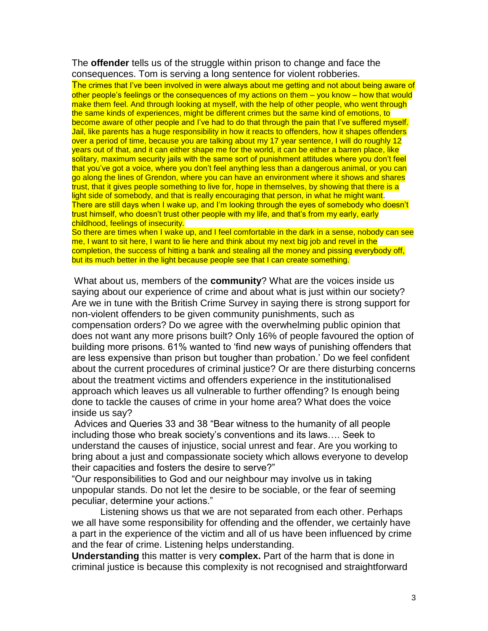The **offender** tells us of the struggle within prison to change and face the consequences. Tom is serving a long sentence for violent robberies.

The crimes that I've been involved in were always about me getting and not about being aware of other people"s feelings or the consequences of my actions on them – you know – how that would make them feel. And through looking at myself, with the help of other people, who went through the same kinds of experiences, might be different crimes but the same kind of emotions, to become aware of other people and I"ve had to do that through the pain that I"ve suffered myself. Jail, like parents has a huge responsibility in how it reacts to offenders, how it shapes offenders over a period of time, because you are talking about my 17 year sentence, I will do roughly 12 years out of that, and it can either shape me for the world, it can be either a barren place, like solitary, maximum security jails with the same sort of punishment attitudes where you don't feel that you"ve got a voice, where you don"t feel anything less than a dangerous animal, or you can go along the lines of Grendon, where you can have an environment where it shows and shares trust, that it gives people something to live for, hope in themselves, by showing that there is a light side of somebody, and that is really encouraging that person, in what he might want. There are still days when I wake up, and I"m looking through the eyes of somebody who doesn"t trust himself, who doesn"t trust other people with my life, and that"s from my early, early childhood, feelings of insecurity.

So there are times when I wake up, and I feel comfortable in the dark in a sense, nobody can see me, I want to sit here, I want to lie here and think about my next big job and revel in the completion, the success of hitting a bank and stealing all the money and pissing everybody off, but its much better in the light because people see that I can create something.

What about us, members of the **community**? What are the voices inside us saying about our experience of crime and about what is just within our society? Are we in tune with the British Crime Survey in saying there is strong support for non-violent offenders to be given community punishments, such as compensation orders? Do we agree with the overwhelming public opinion that does not want any more prisons built? Only 16% of people favoured the option of building more prisons. 61% wanted to "find new ways of punishing offenders that are less expensive than prison but tougher than probation." Do we feel confident about the current procedures of criminal justice? Or are there disturbing concerns about the treatment victims and offenders experience in the institutionalised approach which leaves us all vulnerable to further offending? Is enough being done to tackle the causes of crime in your home area? What does the voice inside us say?

Advices and Queries 33 and 38 "Bear witness to the humanity of all people including those who break society"s conventions and its laws…. Seek to understand the causes of injustice, social unrest and fear. Are you working to bring about a just and compassionate society which allows everyone to develop their capacities and fosters the desire to serve?"

"Our responsibilities to God and our neighbour may involve us in taking unpopular stands. Do not let the desire to be sociable, or the fear of seeming peculiar, determine your actions."

Listening shows us that we are not separated from each other. Perhaps we all have some responsibility for offending and the offender, we certainly have a part in the experience of the victim and all of us have been influenced by crime and the fear of crime. Listening helps understanding.

**Understanding** this matter is very **complex.** Part of the harm that is done in criminal justice is because this complexity is not recognised and straightforward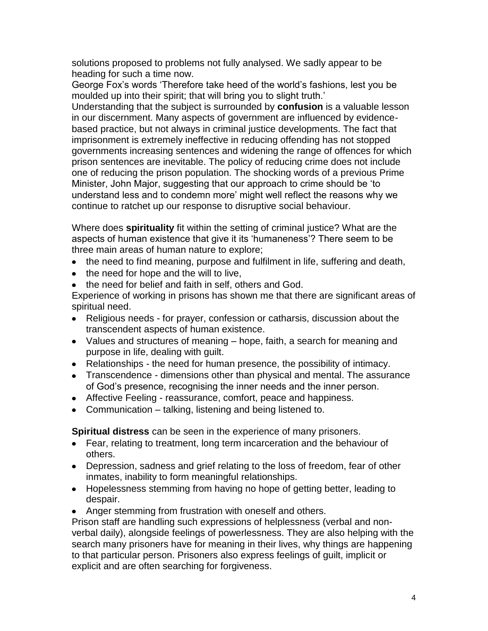solutions proposed to problems not fully analysed. We sadly appear to be heading for such a time now.

George Fox"s words "Therefore take heed of the world"s fashions, lest you be moulded up into their spirit; that will bring you to slight truth."

Understanding that the subject is surrounded by **confusion** is a valuable lesson in our discernment. Many aspects of government are influenced by evidencebased practice, but not always in criminal justice developments. The fact that imprisonment is extremely ineffective in reducing offending has not stopped governments increasing sentences and widening the range of offences for which prison sentences are inevitable. The policy of reducing crime does not include one of reducing the prison population. The shocking words of a previous Prime Minister, John Major, suggesting that our approach to crime should be "to understand less and to condemn more" might well reflect the reasons why we continue to ratchet up our response to disruptive social behaviour.

Where does **spirituality** fit within the setting of criminal justice? What are the aspects of human existence that give it its "humaneness"? There seem to be three main areas of human nature to explore;

- the need to find meaning, purpose and fulfilment in life, suffering and death,
- $\bullet$  the need for hope and the will to live,
- the need for belief and faith in self, others and God.

Experience of working in prisons has shown me that there are significant areas of spiritual need.

- Religious needs for prayer, confession or catharsis, discussion about the transcendent aspects of human existence.
- Values and structures of meaning hope, faith, a search for meaning and purpose in life, dealing with guilt.
- Relationships the need for human presence, the possibility of intimacy.
- Transcendence dimensions other than physical and mental. The assurance of God"s presence, recognising the inner needs and the inner person.
- Affective Feeling reassurance, comfort, peace and happiness.
- Communication talking, listening and being listened to.

**Spiritual distress** can be seen in the experience of many prisoners.

- Fear, relating to treatment, long term incarceration and the behaviour of others.
- Depression, sadness and grief relating to the loss of freedom, fear of other inmates, inability to form meaningful relationships.
- Hopelessness stemming from having no hope of getting better, leading to despair.
- Anger stemming from frustration with oneself and others.

Prison staff are handling such expressions of helplessness (verbal and nonverbal daily), alongside feelings of powerlessness. They are also helping with the search many prisoners have for meaning in their lives, why things are happening to that particular person. Prisoners also express feelings of guilt, implicit or explicit and are often searching for forgiveness.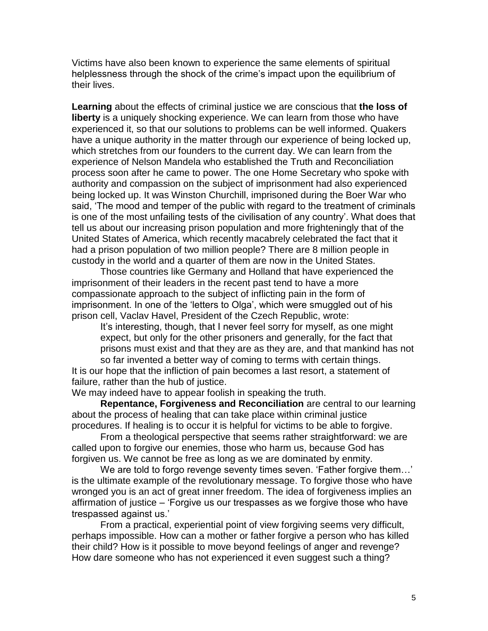Victims have also been known to experience the same elements of spiritual helplessness through the shock of the crime's impact upon the equilibrium of their lives.

**Learning** about the effects of criminal justice we are conscious that **the loss of liberty** is a uniquely shocking experience. We can learn from those who have experienced it, so that our solutions to problems can be well informed. Quakers have a unique authority in the matter through our experience of being locked up, which stretches from our founders to the current day. We can learn from the experience of Nelson Mandela who established the Truth and Reconciliation process soon after he came to power. The one Home Secretary who spoke with authority and compassion on the subject of imprisonment had also experienced being locked up. It was Winston Churchill, imprisoned during the Boer War who said, "The mood and temper of the public with regard to the treatment of criminals is one of the most unfailing tests of the civilisation of any country". What does that tell us about our increasing prison population and more frighteningly that of the United States of America, which recently macabrely celebrated the fact that it had a prison population of two million people? There are 8 million people in custody in the world and a quarter of them are now in the United States.

Those countries like Germany and Holland that have experienced the imprisonment of their leaders in the recent past tend to have a more compassionate approach to the subject of inflicting pain in the form of imprisonment. In one of the "letters to Olga", which were smuggled out of his prison cell, Vaclav Havel, President of the Czech Republic, wrote:

It's interesting, though, that I never feel sorry for myself, as one might expect, but only for the other prisoners and generally, for the fact that prisons must exist and that they are as they are, and that mankind has not so far invented a better way of coming to terms with certain things.

It is our hope that the infliction of pain becomes a last resort, a statement of failure, rather than the hub of justice.

We may indeed have to appear foolish in speaking the truth.

**Repentance, Forgiveness and Reconciliation** are central to our learning about the process of healing that can take place within criminal justice procedures. If healing is to occur it is helpful for victims to be able to forgive.

From a theological perspective that seems rather straightforward: we are called upon to forgive our enemies, those who harm us, because God has forgiven us. We cannot be free as long as we are dominated by enmity.

We are told to forgo revenge seventy times seven. 'Father forgive them...' is the ultimate example of the revolutionary message. To forgive those who have wronged you is an act of great inner freedom. The idea of forgiveness implies an affirmation of justice – "Forgive us our trespasses as we forgive those who have trespassed against us."

From a practical, experiential point of view forgiving seems very difficult, perhaps impossible. How can a mother or father forgive a person who has killed their child? How is it possible to move beyond feelings of anger and revenge? How dare someone who has not experienced it even suggest such a thing?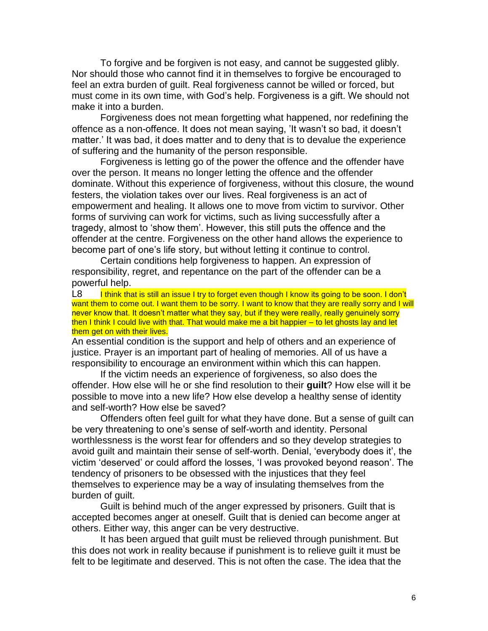To forgive and be forgiven is not easy, and cannot be suggested glibly. Nor should those who cannot find it in themselves to forgive be encouraged to feel an extra burden of guilt. Real forgiveness cannot be willed or forced, but must come in its own time, with God"s help. Forgiveness is a gift. We should not make it into a burden.

Forgiveness does not mean forgetting what happened, nor redefining the offence as a non-offence. It does not mean saying, "It wasn"t so bad, it doesn"t matter.' It was bad, it does matter and to deny that is to devalue the experience of suffering and the humanity of the person responsible.

Forgiveness is letting go of the power the offence and the offender have over the person. It means no longer letting the offence and the offender dominate. Without this experience of forgiveness, without this closure, the wound festers, the violation takes over our lives. Real forgiveness is an act of empowerment and healing. It allows one to move from victim to survivor. Other forms of surviving can work for victims, such as living successfully after a tragedy, almost to "show them". However, this still puts the offence and the offender at the centre. Forgiveness on the other hand allows the experience to become part of one"s life story, but without letting it continue to control.

Certain conditions help forgiveness to happen. An expression of responsibility, regret, and repentance on the part of the offender can be a powerful help.

L8 I think that is still an issue I try to forget even though I know its going to be soon. I don't want them to come out. I want them to be sorry. I want to know that they are really sorry and I will never know that. It doesn't matter what they say, but if they were really, really genuinely sorry then I think I could live with that. That would make me a bit happier – to let ghosts lay and let them get on with their lives.

An essential condition is the support and help of others and an experience of justice. Prayer is an important part of healing of memories. All of us have a responsibility to encourage an environment within which this can happen.

If the victim needs an experience of forgiveness, so also does the offender. How else will he or she find resolution to their **guilt**? How else will it be possible to move into a new life? How else develop a healthy sense of identity and self-worth? How else be saved?

Offenders often feel guilt for what they have done. But a sense of guilt can be very threatening to one"s sense of self-worth and identity. Personal worthlessness is the worst fear for offenders and so they develop strategies to avoid guilt and maintain their sense of self-worth. Denial, "everybody does it", the victim "deserved" or could afford the losses, "I was provoked beyond reason". The tendency of prisoners to be obsessed with the injustices that they feel themselves to experience may be a way of insulating themselves from the burden of guilt.

Guilt is behind much of the anger expressed by prisoners. Guilt that is accepted becomes anger at oneself. Guilt that is denied can become anger at others. Either way, this anger can be very destructive.

It has been argued that guilt must be relieved through punishment. But this does not work in reality because if punishment is to relieve guilt it must be felt to be legitimate and deserved. This is not often the case. The idea that the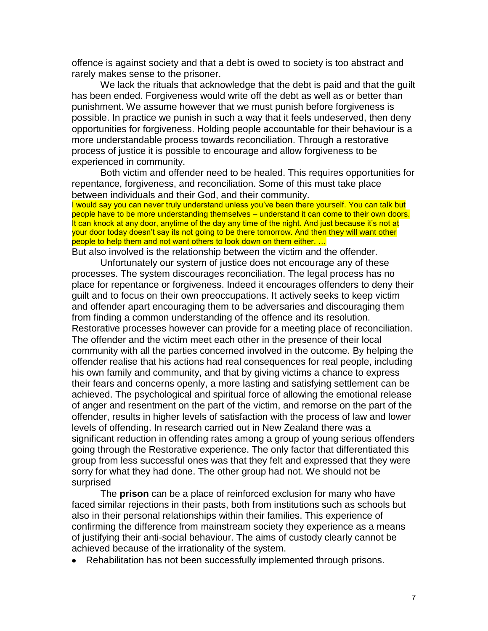offence is against society and that a debt is owed to society is too abstract and rarely makes sense to the prisoner.

We lack the rituals that acknowledge that the debt is paid and that the guilt has been ended. Forgiveness would write off the debt as well as or better than punishment. We assume however that we must punish before forgiveness is possible. In practice we punish in such a way that it feels undeserved, then deny opportunities for forgiveness. Holding people accountable for their behaviour is a more understandable process towards reconciliation. Through a restorative process of justice it is possible to encourage and allow forgiveness to be experienced in community.

Both victim and offender need to be healed. This requires opportunities for repentance, forgiveness, and reconciliation. Some of this must take place between individuals and their God, and their community.

I would say you can never truly understand unless you"ve been there yourself. You can talk but people have to be more understanding themselves – understand it can come to their own doors. It can knock at any door, anytime of the day any time of the night. And just because it's not at your door today doesn't say its not going to be there tomorrow. And then they will want other people to help them and not want others to look down on them either. …

But also involved is the relationship between the victim and the offender.

Unfortunately our system of justice does not encourage any of these processes. The system discourages reconciliation. The legal process has no place for repentance or forgiveness. Indeed it encourages offenders to deny their guilt and to focus on their own preoccupations. It actively seeks to keep victim and offender apart encouraging them to be adversaries and discouraging them from finding a common understanding of the offence and its resolution. Restorative processes however can provide for a meeting place of reconciliation. The offender and the victim meet each other in the presence of their local community with all the parties concerned involved in the outcome. By helping the offender realise that his actions had real consequences for real people, including his own family and community, and that by giving victims a chance to express their fears and concerns openly, a more lasting and satisfying settlement can be achieved. The psychological and spiritual force of allowing the emotional release of anger and resentment on the part of the victim, and remorse on the part of the offender, results in higher levels of satisfaction with the process of law and lower levels of offending. In research carried out in New Zealand there was a significant reduction in offending rates among a group of young serious offenders going through the Restorative experience. The only factor that differentiated this group from less successful ones was that they felt and expressed that they were sorry for what they had done. The other group had not. We should not be surprised

The **prison** can be a place of reinforced exclusion for many who have faced similar rejections in their pasts, both from institutions such as schools but also in their personal relationships within their families. This experience of confirming the difference from mainstream society they experience as a means of justifying their anti-social behaviour. The aims of custody clearly cannot be achieved because of the irrationality of the system.

Rehabilitation has not been successfully implemented through prisons.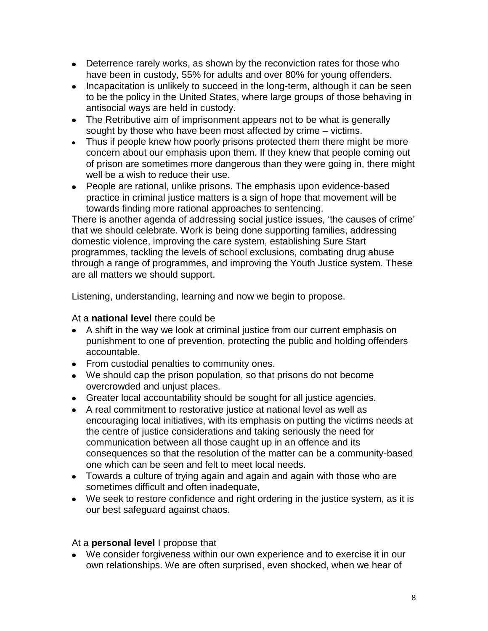- Deterrence rarely works, as shown by the reconviction rates for those who have been in custody, 55% for adults and over 80% for young offenders.
- Incapacitation is unlikely to succeed in the long-term, although it can be seen to be the policy in the United States, where large groups of those behaving in antisocial ways are held in custody.
- The Retributive aim of imprisonment appears not to be what is generally sought by those who have been most affected by crime – victims.
- Thus if people knew how poorly prisons protected them there might be more concern about our emphasis upon them. If they knew that people coming out of prison are sometimes more dangerous than they were going in, there might well be a wish to reduce their use.
- People are rational, unlike prisons. The emphasis upon evidence-based practice in criminal justice matters is a sign of hope that movement will be towards finding more rational approaches to sentencing.

There is another agenda of addressing social justice issues, "the causes of crime" that we should celebrate. Work is being done supporting families, addressing domestic violence, improving the care system, establishing Sure Start programmes, tackling the levels of school exclusions, combating drug abuse through a range of programmes, and improving the Youth Justice system. These are all matters we should support.

Listening, understanding, learning and now we begin to propose.

## At a **national level** there could be

- A shift in the way we look at criminal justice from our current emphasis on punishment to one of prevention, protecting the public and holding offenders accountable.
- From custodial penalties to community ones.
- We should cap the prison population, so that prisons do not become overcrowded and unjust places.
- Greater local accountability should be sought for all justice agencies.
- A real commitment to restorative justice at national level as well as encouraging local initiatives, with its emphasis on putting the victims needs at the centre of justice considerations and taking seriously the need for communication between all those caught up in an offence and its consequences so that the resolution of the matter can be a community-based one which can be seen and felt to meet local needs.
- Towards a culture of trying again and again and again with those who are sometimes difficult and often inadequate,
- We seek to restore confidence and right ordering in the justice system, as it is our best safeguard against chaos.

## At a **personal level** I propose that

We consider forgiveness within our own experience and to exercise it in our own relationships. We are often surprised, even shocked, when we hear of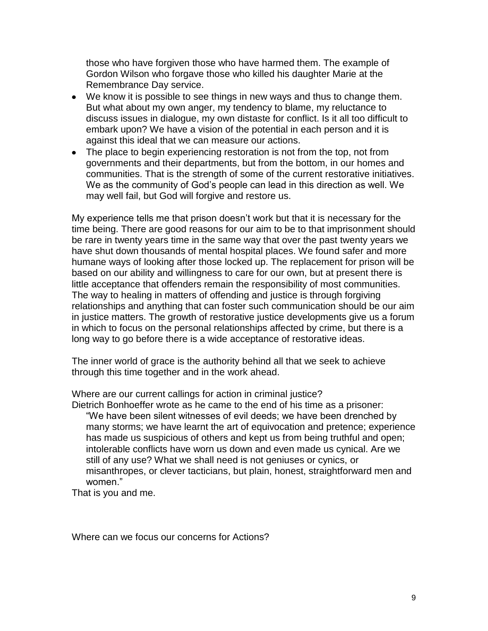those who have forgiven those who have harmed them. The example of Gordon Wilson who forgave those who killed his daughter Marie at the Remembrance Day service.

- We know it is possible to see things in new ways and thus to change them. But what about my own anger, my tendency to blame, my reluctance to discuss issues in dialogue, my own distaste for conflict. Is it all too difficult to embark upon? We have a vision of the potential in each person and it is against this ideal that we can measure our actions.
- The place to begin experiencing restoration is not from the top, not from governments and their departments, but from the bottom, in our homes and communities. That is the strength of some of the current restorative initiatives. We as the community of God"s people can lead in this direction as well. We may well fail, but God will forgive and restore us.

My experience tells me that prison doesn"t work but that it is necessary for the time being. There are good reasons for our aim to be to that imprisonment should be rare in twenty years time in the same way that over the past twenty years we have shut down thousands of mental hospital places. We found safer and more humane ways of looking after those locked up. The replacement for prison will be based on our ability and willingness to care for our own, but at present there is little acceptance that offenders remain the responsibility of most communities. The way to healing in matters of offending and justice is through forgiving relationships and anything that can foster such communication should be our aim in justice matters. The growth of restorative justice developments give us a forum in which to focus on the personal relationships affected by crime, but there is a long way to go before there is a wide acceptance of restorative ideas.

The inner world of grace is the authority behind all that we seek to achieve through this time together and in the work ahead.

Where are our current callings for action in criminal justice? Dietrich Bonhoeffer wrote as he came to the end of his time as a prisoner:

"We have been silent witnesses of evil deeds; we have been drenched by many storms; we have learnt the art of equivocation and pretence; experience has made us suspicious of others and kept us from being truthful and open; intolerable conflicts have worn us down and even made us cynical. Are we still of any use? What we shall need is not geniuses or cynics, or misanthropes, or clever tacticians, but plain, honest, straightforward men and women."

That is you and me.

Where can we focus our concerns for Actions?